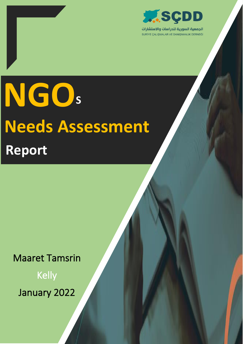

الجمعية السورية للدراسات والاستشارات SURİYE ÇALIŞMALAR VE DANIŞMANLIK DERNEĞİ

# **NGO Needs Assessment Report S**

Maaret Tamsrin

Kelly

January 2022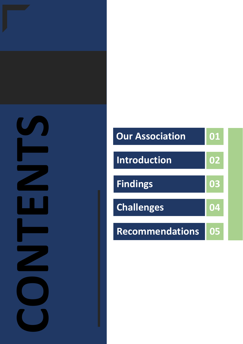

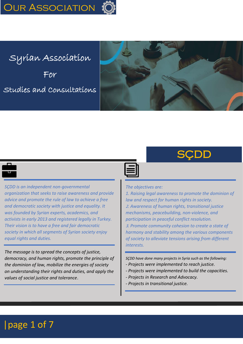OUR ASSOCIATION

Syrian Association For Studies and Consultations







*SÇDD is an independent non-governmental organization that seeks to raise awareness and provide advice and promote the rule of law to achieve a free and democratic society with justice and equality. It was founded by Syrian experts, academics, and activists in early 2013 and registered legally in Turkey. Their vision is to have a free and fair democratic society in which all segments of Syrian society enjoy equal rights and duties.*

*The message is to spread the concepts of justice, democracy, and human rights, promote the principle of the dominion of law, mobilize the energies of society on understanding their rights and duties, and apply the values of social justice and tolerance*.

*The objectives are:*

*1. Raising legal awareness to promote the dominion of law and respect for human rights in society.* <sup>2</sup>*. Awareness of human rights, transitional justice mechanisms, peacebuilding, non-violence, and participation in peaceful conflict resolution.* <sup>3</sup>*. Promote community cohesion to create a state of harmony and stability among the various components of society to alleviate tensions arising from different interests.*

*SÇDD have done many projects in Syria such as the following:*

- *- Projects were implemented to reach justice.*
- *- Projects were implemented to build the capacities.*
- *- Projects in Research and Advocacy.*
- *- Projects in transitional justice.*

## |page 1 of 7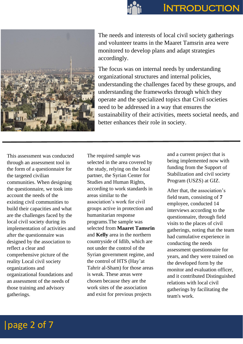

The needs and interests of local civil society gatherings and volunteer teams in the Maaret Tamsrin area were monitored to develop plans and adapt strategies accordingly.

The focus was on internal needs by understanding organizational structures and internal policies, understanding the challenges faced by these groups, and understanding the frameworks through which they operate and the specialized topics that Civil societies need to be addressed in a way that ensures the sustainability of their activities, meets societal needs, and better enhances their role in society.

This assessment was conducted through an assessment tool in the form of a questionnaire for the targeted civilian communities. When designing the questionnaire, we took into account the needs of the existing civil communities to build their capacities and what are the challenges faced by the local civil society during its implementation of activities and after the questionnaire was designed by the association to reflect a clear and comprehensive picture of the reality Local civil society organizations and organizational foundations and an assessment of the needs of those training and advisory gatherings.

The required sample was selected in the area covered by the study, relying on the local partner, the Syrian Center for Studies and Human Rights, according to work standards in areas similar to the association's work for civil groups active in protection and humanitarian response programs.The sample was selected from **Maaret Tamsrin** and **Kelly** area in the northern countryside of Idlib, which are not under the control of the Syrian government regime, and the control of HTS (Hay'at Tahrir al-Sham) for those areas is weak. These areas were chosen because they are the work sites of the association and exist for previous projects

and a current project that is being implemented now with funding from the Support of Stabilization and civil society Program (USZS) at GIZ.

After that, the association's field team, consisting of **7** employee, conducted 14 interviews according to the questionnaire, through field visits to the places of civil gatherings, noting that the team had cumulative experience in conducting the needs assessment questionnaire for years, and they were trained on the developed form by the monitor and evaluation officer, and it contributed Distinguished relations with local civil gatherings by facilitating the team's work .

### |page 2 of 7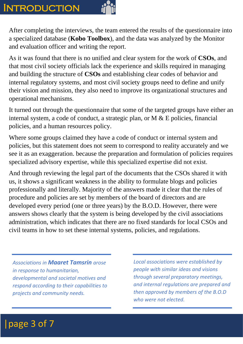### **INTRODUCTION**



After completing the interviews, the team entered the results of the questionnaire into a specialized database (**Kobo Toolbox**), and the data was analyzed by the Monitor and evaluation officer and writing the report.

As it was found that there is no unified and clear system for the work of **CSOs**, and that most civil society officials lack the experience and skills required in managing and building the structure of **CSOs** and establishing clear codes of behavior and internal regulatory systems, and most civil society groups need to define and unify their vision and mission, they also need to improve its organizational structures and operational mechanisms .

It turned out through the questionnaire that some of the targeted groups have either an internal system, a code of conduct, a strategic plan, or M & E policies, financial policies, and a human resources policy.

Where some groups claimed they have a code of conduct or internal system and policies, but this statement does not seem to correspond to reality accurately and we see it as an exaggeration. because the preparation and formulation of policies requires specialized advisory expertise, while this specialized expertise did not exist.

And through reviewing the legal part of the documents that the CSOs shared it with us, it shows a significant weakness in the ability to formulate blogs and policies professionally and literally. Majority of the answers made it clear that the rules of procedure and policies are set by members of the board of directors and are developed every period (one or three years) by the B.O.D. However, there were answers shows clearly that the system is being developed by the civil associations administration, which indicates that there are no fixed standards for local CSOs and civil teams in how to set these internal systems, policies, and regulations.

*Associations in Maaret Tamsrin arose in response to humanitarian, developmental and societal motives and respond according to their capabilities to projects and community needs.*

*Local associations were established by people with similar ideas and visions through several preparatory meetings, and internal regulations are prepared and then approved by members of the B.O.D who were not elected.*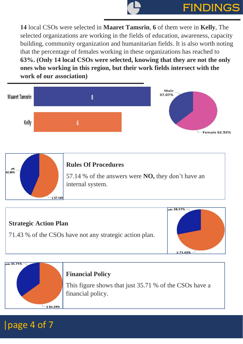# FINDINGS

**14** local CSOs were selected in **Maaret Tamsrin**, **6** of them were in **Kelly**, The selected organizations are working in the fields of education, awareness, capacity building, community organization and humanitarian fields. It is also worth noting that the percentage of females working in these organizations has reached to **63%. (Only 14 local CSOs were selected, knowing that they are not the only ones who working in this region, but their work fields intersect with the work of our association)**



### **Strategic Action Plan**

71.43 % of the CSOs have not any strategic action plan.

.<br>28.57% نعم - 71.43% لا



### **Financial Policy**

This figure shows that just 35.71 % of the CSOs have a financial policy.

### |page 4 of 7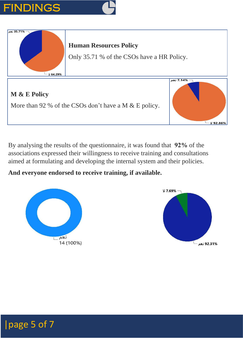# FINDINGS





#### **Human Resources Policy**

Only 35.71 % of the CSOs have a HR Policy.



By analysing the results of the questionnaire, it was found that **92%** of the associations expressed their willingness to receive training and consultations aimed at formulating and developing the internal system and their policies.

### **And everyone endorsed to receive training, if available.**





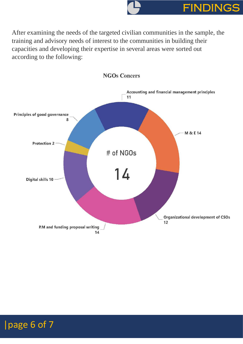# FINDINGS

After examining the needs of the targeted civilian communities in the sample, the training and advisory needs of interest to the communities in building their capacities and developing their expertise in several areas were sorted out according to the following:



**NGOs Concers**